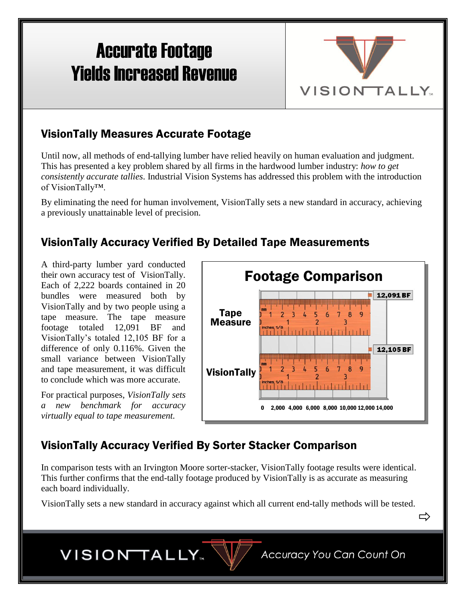# Accurate Footage Yields Increased Revenue



### VisionTally Measures Accurate Footage

Until now, all methods of end-tallying lumber have relied heavily on human evaluation and judgment. This has presented a key problem shared by all firms in the hardwood lumber industry: *how to get consistently accurate tallies*. Industrial Vision Systems has addressed this problem with the introduction of VisionTally™.

By eliminating the need for human involvement, VisionTally sets a new standard in accuracy, achieving a previously unattainable level of precision.

# VisionTally Accuracy Verified By Detailed Tape Measurements

A third-party lumber yard conducted their own accuracy test of VisionTally. Each of 2,222 boards contained in 20 bundles were measured both by VisionTally and by two people using a tape measure. The tape measure footage totaled 12,091 BF and VisionTally's totaled 12,105 BF for a difference of only 0.116%. Given the small variance between VisionTally and tape measurement, it was difficult to conclude which was more accurate.

For practical purposes, *VisionTally sets a new benchmark for accuracy virtually equal to tape measurement.*



# VisionTally Accuracy Verified By Sorter Stacker Comparison

In comparison tests with an Irvington Moore sorter-stacker, VisionTally footage results were identical. This further confirms that the end-tally footage produced by VisionTally is as accurate as measuring each board individually.

VisionTally sets a new standard in accuracy against which all current end-tally methods will be tested.

⇨

VISION TALLY.